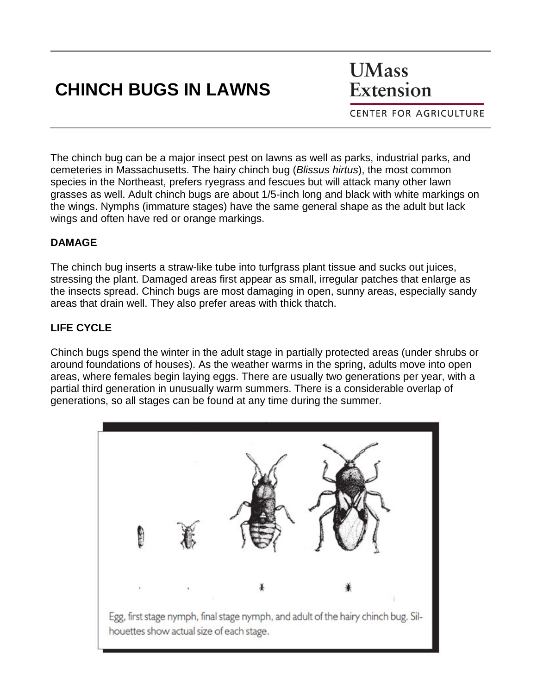# **CHINCH BUGS IN LAWNS**

**UMass** Extension

**CENTER FOR AGRICULTURE** 

The chinch bug can be a major insect pest on lawns as well as parks, industrial parks, and cemeteries in Massachusetts. The hairy chinch bug (*Blissus hirtus*), the most common species in the Northeast, prefers ryegrass and fescues but will attack many other lawn grasses as well. Adult chinch bugs are about 1/5-inch long and black with white markings on the wings. Nymphs (immature stages) have the same general shape as the adult but lack wings and often have red or orange markings.

### **DAMAGE**

The chinch bug inserts a straw-like tube into turfgrass plant tissue and sucks out juices, stressing the plant. Damaged areas first appear as small, irregular patches that enlarge as the insects spread. Chinch bugs are most damaging in open, sunny areas, especially sandy areas that drain well. They also prefer areas with thick thatch.

## **LIFE CYCLE**

Chinch bugs spend the winter in the adult stage in partially protected areas (under shrubs or around foundations of houses). As the weather warms in the spring, adults move into open areas, where females begin laying eggs. There are usually two generations per year, with a partial third generation in unusually warm summers. There is a considerable overlap of generations, so all stages can be found at any time during the summer.

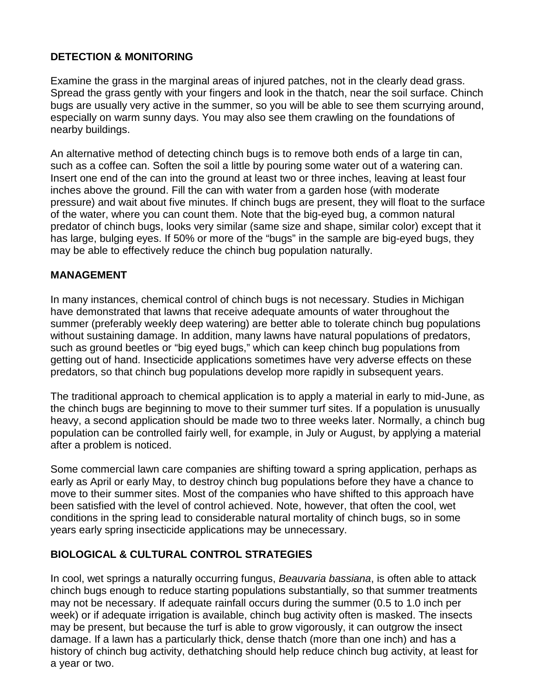### **DETECTION & MONITORING**

Examine the grass in the marginal areas of injured patches, not in the clearly dead grass. Spread the grass gently with your fingers and look in the thatch, near the soil surface. Chinch bugs are usually very active in the summer, so you will be able to see them scurrying around, especially on warm sunny days. You may also see them crawling on the foundations of nearby buildings.

An alternative method of detecting chinch bugs is to remove both ends of a large tin can, such as a coffee can. Soften the soil a little by pouring some water out of a watering can. Insert one end of the can into the ground at least two or three inches, leaving at least four inches above the ground. Fill the can with water from a garden hose (with moderate pressure) and wait about five minutes. If chinch bugs are present, they will float to the surface of the water, where you can count them. Note that the big-eyed bug, a common natural predator of chinch bugs, looks very similar (same size and shape, similar color) except that it has large, bulging eyes. If 50% or more of the "bugs" in the sample are big-eyed bugs, they may be able to effectively reduce the chinch bug population naturally.

#### **MANAGEMENT**

In many instances, chemical control of chinch bugs is not necessary. Studies in Michigan have demonstrated that lawns that receive adequate amounts of water throughout the summer (preferably weekly deep watering) are better able to tolerate chinch bug populations without sustaining damage. In addition, many lawns have natural populations of predators, such as ground beetles or "big eyed bugs," which can keep chinch bug populations from getting out of hand. Insecticide applications sometimes have very adverse effects on these predators, so that chinch bug populations develop more rapidly in subsequent years.

The traditional approach to chemical application is to apply a material in early to mid-June, as the chinch bugs are beginning to move to their summer turf sites. If a population is unusually heavy, a second application should be made two to three weeks later. Normally, a chinch bug population can be controlled fairly well, for example, in July or August, by applying a material after a problem is noticed.

Some commercial lawn care companies are shifting toward a spring application, perhaps as early as April or early May, to destroy chinch bug populations before they have a chance to move to their summer sites. Most of the companies who have shifted to this approach have been satisfied with the level of control achieved. Note, however, that often the cool, wet conditions in the spring lead to considerable natural mortality of chinch bugs, so in some years early spring insecticide applications may be unnecessary.

### **BIOLOGICAL & CULTURAL CONTROL STRATEGIES**

In cool, wet springs a naturally occurring fungus, *Beauvaria bassiana*, is often able to attack chinch bugs enough to reduce starting populations substantially, so that summer treatments may not be necessary. If adequate rainfall occurs during the summer (0.5 to 1.0 inch per week) or if adequate irrigation is available, chinch bug activity often is masked. The insects may be present, but because the turf is able to grow vigorously, it can outgrow the insect damage. If a lawn has a particularly thick, dense thatch (more than one inch) and has a history of chinch bug activity, dethatching should help reduce chinch bug activity, at least for a year or two.